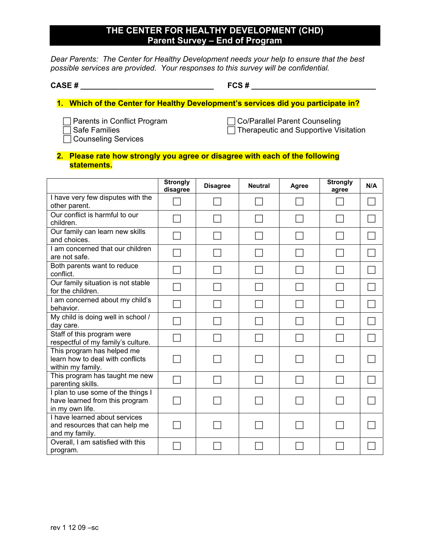# **THE CENTER FOR HEALTHY DEVELOPMENT (CHD) Parent Survey – End of Program**

*Dear Parents: The Center for Healthy Development needs your help to ensure that the best possible services are provided. Your responses to this survey will be confidential.* 

**CASE # \_\_\_\_\_\_\_\_\_\_\_\_\_\_\_\_\_\_\_\_\_\_\_\_\_\_\_\_\_\_\_ FCS # \_\_\_\_\_\_\_\_\_\_\_\_\_\_\_\_\_\_\_\_\_\_\_\_\_\_\_\_\_** 

# **1. Which of the Center for Healthy Development's services did you participate in?**

- 
- 

 $\Box$  Counseling Services

F Parents in Conflict Program F Co/Parallel Parent Counseling  $\overline{\Box}$  Safe Families  $\overline{\Box}$  Therapeutic and Supportive Visitation

#### **2. Please rate how strongly you agree or disagree with each of the following statements.**

|                                                                                         | <b>Strongly</b><br>disagree | <b>Disagree</b> | <b>Neutral</b> | Agree | <b>Strongly</b><br>agree | N/A |
|-----------------------------------------------------------------------------------------|-----------------------------|-----------------|----------------|-------|--------------------------|-----|
| I have very few disputes with the<br>other parent.                                      |                             |                 |                |       |                          |     |
| Our conflict is harmful to our<br>children.                                             |                             |                 |                |       |                          |     |
| Our family can learn new skills<br>and choices.                                         |                             |                 |                |       |                          |     |
| I am concerned that our children<br>are not safe.                                       |                             |                 |                |       |                          |     |
| Both parents want to reduce<br>conflict.                                                |                             |                 |                |       |                          |     |
| Our family situation is not stable<br>for the children.                                 |                             |                 |                |       |                          |     |
| I am concerned about my child's<br>behavior.                                            |                             |                 |                |       |                          |     |
| My child is doing well in school /<br>day care.                                         |                             |                 |                |       |                          |     |
| Staff of this program were<br>respectful of my family's culture.                        |                             |                 |                |       |                          |     |
| This program has helped me<br>learn how to deal with conflicts<br>within my family.     |                             |                 |                |       |                          |     |
| This program has taught me new<br>parenting skills.                                     |                             |                 |                |       |                          |     |
| I plan to use some of the things I<br>have learned from this program<br>in my own life. |                             |                 |                |       |                          |     |
| I have learned about services<br>and resources that can help me<br>and my family.       |                             |                 |                |       |                          |     |
| Overall, I am satisfied with this<br>program.                                           |                             |                 |                |       |                          |     |